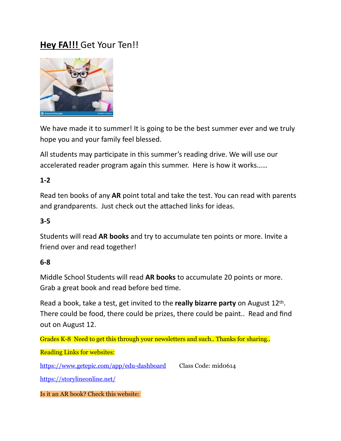## **Hey FA!!!** Get Your Ten!!



We have made it to summer! It is going to be the best summer ever and we truly hope you and your family feel blessed.

All students may participate in this summer's reading drive. We will use our accelerated reader program again this summer. Here is how it works……

## **1-2**

Read ten books of any **AR** point total and take the test. You can read with parents and grandparents. Just check out the attached links for ideas.

## **3-5**

Students will read **AR books** and try to accumulate ten points or more. Invite a friend over and read together!

## **6-8**

Middle School Students will read **AR books** to accumulate 20 points or more. Grab a great book and read before bed time.

Read a book, take a test, get invited to the **really bizarre party** on August 12th. There could be food, there could be prizes, there could be paint.. Read and find out on August 12.

Grades K-8 Need to get this through your newsletters and such.. Thanks for sharing..

Reading Links for websites:

<https://www.getepic.com/app/edu-dashboard> Class Code: mid0614

<https://storylineonline.net/>

Is it an AR book? Check this website: